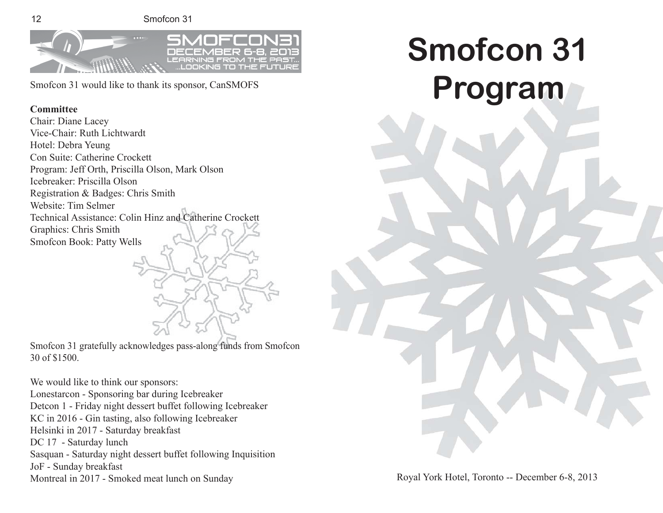12 Smofcon 31



Smofcon 31 would like to thank its sponsor, CanSMOFS

## **Committee**

Chair: Diane Lacey Vice-Chair: Ruth Lichtwardt Hotel: Debra Yeung Con Suite: Catherine Crockett Program: Jeff Orth, Priscilla Olson, Mark Olson Icebreaker: Priscilla Olson Registration & Badges: Chris Smith Website: Tim Selmer Technical Assistance: Colin Hinz and Catherine Crockett Graphics: Chris Smith Smofcon Book: Patty Wells

Smofcon 31 gratefully acknowledges pass-along funds from Smofcon 30 of \$1500.

We would like to think our sponsors: Lonestarcon - Sponsoring bar during Icebreaker Detcon 1 - Friday night dessert buffet following Icebreaker KC in 2016 - Gin tasting, also following Icebreaker Helsinki in 2017 - Saturday breakfast DC 17 - Saturday lunch Sasquan - Saturday night dessert buffet following Inquisition JoF - Sunday breakfast Montreal in 2017 - Smoked meat lunch on Sunday

**Smofcon 31 mofcon Program**

Royal York Hotel, Toronto -- December 6-8, 2013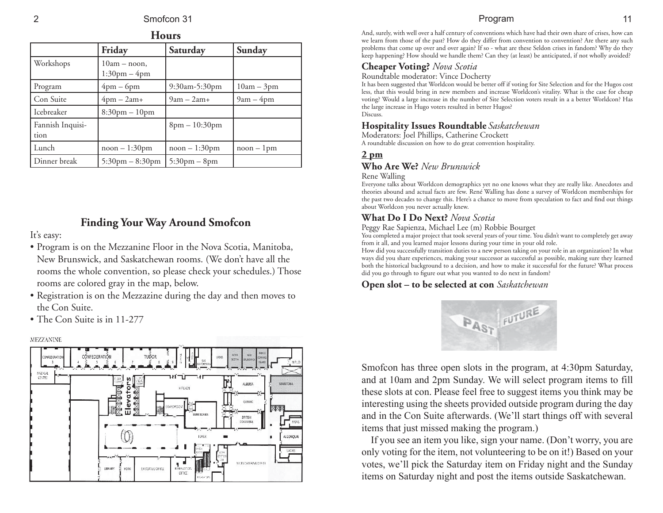| <b>Hours</b>             |                                                   |                                |              |
|--------------------------|---------------------------------------------------|--------------------------------|--------------|
|                          | Friday                                            | Saturday                       | Sunday       |
| Workshops                | $10am - noon$ ,<br>$1:30 \text{pm} - 4 \text{pm}$ |                                |              |
| Program                  | $4pm-6pm$                                         | 9:30am-5:30pm                  | $10am - 3pm$ |
| Con Suite                | $4pm - 2am +$                                     | $9am - 2am +$                  | $9am - 4pm$  |
| Icebreaker               | $8:30 \text{pm} - 10 \text{pm}$                   |                                |              |
| Fannish Inquisi-<br>tion |                                                   | $8pm - 10:30pm$                |              |
| Lunch                    | $noon - 1:30pm$                                   | $noon - 1:30pm$                | $noon - 1pm$ |
| Dinner break             | $5:30 \text{pm} - 8:30 \text{pm}$                 | $5:30 \text{pm} - 8 \text{pm}$ |              |

## **Finding Your Way Around Smofcon**

It's easy:

- Program is on the Mezzanine Floor in the Nova Scotia, Manitoba, New Brunswick, and Saskatchewan rooms. (We don't have all the rooms the whole convention, so please check your schedules.) Those rooms are colored gray in the map, below.
- Registration is on the Mezzazine during the day and then moves to the Con Suite.
- The Con Suite is in 11-277

#### **MEZZANINE**



## Program 11

And, surely, with well over a half century of conventions which have had their own share of crises, how can we learn from those of the past? How do they differ from convention to convention? Are there any such problems that come up over and over again? If so - what are these Seldon crises in fandom? Why do they keep happening? How should we handle them? Can they (at least) be anticipated, if not wholly avoided?

## **Cheaper Voting?** *Nova Scotia*

Roundtable moderator: Vince Docherty

It has been suggested that Worldcon would be better off if voting for Site Selection and for the Hugos cost less, that this would bring in new members and increase Worldcon's vitality. What is the case for cheap voting? Would a large increase in the number of Site Selection voters result in a a better Worldcon? Has the large increase in Hugo voters resulted in better Hugos? Discuss.

## **Hospitality Issues Roundtable** *Saskatchewan*

Moderators: Joel Phillips, Catherine Crockett A roundtable discussion on how to do great convention hospitality.

## **2 pm**

## **Who Are We?** *New Brunswick*

## Rene Walling

Everyone talks about Worldcon demographics yet no one knows what they are really like. Anecdotes and theories abound and actual facts are few. René Walling has done a survey of Worldcon memberships for the past two decades to change this. Here's a chance to move from speculation to fact and find out things about Worldcon you never actually knew.

## **What Do I Do Next?** *Nova Scotia*

Peggy Rae Sapienza, Michael Lee (m) Robbie Bourget

You completed a major project that took several years of your time. You didn't want to completely get away from it all, and you learned major lessons during your time in your old role.

How did you successfully transition duties to a new person taking on your role in an organization? In what ways did you share experiences, making your successor as successful as possible, making sure they learned both the historical background to a decision, and how to make it successful for the future? What process did you go through to figure out what you wanted to do next in fandom?

## **Open slot – to be selected at con** *Saskatchewan*



Smofcon has three open slots in the program, at 4:30pm Saturday, and at 10am and 2pm Sunday. We will select program items to fill these slots at con. Please feel free to suggest items you think may be interesting using the sheets provided outside program during the day and in the Con Suite afterwards. (We'll start things off with several items that just missed making the program.)

If you see an item you like, sign your name. (Don't worry, you are only voting for the item, not volunteering to be on it!) Based on your votes, we'll pick the Saturday item on Friday night and the Sunday items on Saturday night and post the items outside Saskatchewan.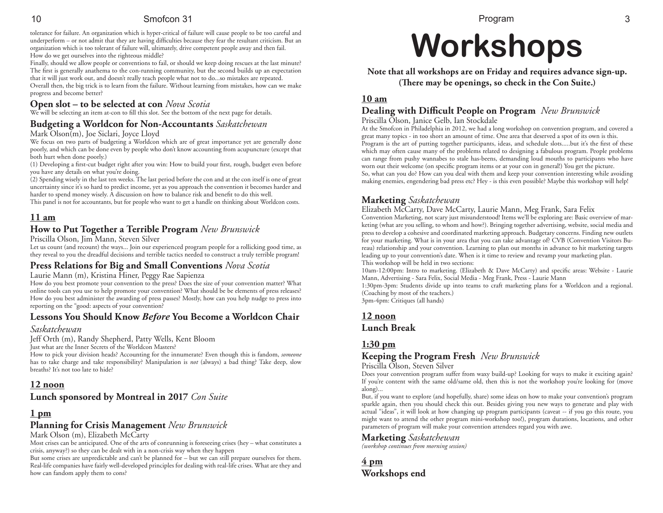10 Smofcon 31

tolerance for failure. An organization which is hyper-critical of failure will cause people to be too careful and underperform – or not admit that they are having difficulties because they fear the resultant criticism. But an organization which is too tolerant of failure will, ultimately, drive competent people away and then fail. How do we get ourselves into the righteous middle?

Finally, should we allow people or conventions to fail, or should we keep doing rescues at the last minute? The first is generally anathema to the con-running community, but the second builds up an expectation that it will just work out, and doesn't really teach people what not to do...so mistakes are repeated. Overall then, the big trick is to learn from the failure. Without learning from mistakes, how can we make progress and become better?

#### **Open slot – to be selected at con** *Nova Scotia*

We will be selecting an item at-con to fill this slot. See the bottom of the next page for details.

#### **Budgeting a Worldcon for Non-Accountants** *Saskatchewan*

#### Mark Olson(m), Joe Siclari, Joyce Lloyd

We focus on two parts of budgeting a Worldcon which are of great importance yet are generally done poorly, and which can be done even by people who don't know accounting from acupuncture (except that both hurt when done poorly.)

(1) Developing a first-cut budget right after you win: How to build your first, rough, budget even before you have any details on what you're doing.

(2) Spending wisely in the last ten weeks. The last period before the con and at the con itself is one of great uncertainty since it's so hard to predict income, yet as you approach the convention it becomes harder and harder to spend money wisely. A discussion on how to balance risk and benefit to do this well.

This panel is not for accountants, but for people who want to get a handle on thinking about Worldcon costs.

## **11 am**

## **How to Put Together a Terrible Program** *New Brunswick*

Priscilla Olson, Jim Mann, Steven Silver

Let us count (and recount) the ways... Join our experienced program people for a rollicking good time, as they reveal to you the dreadful decisions and terrible tactics needed to construct a truly terrible program!

## **Press Relations for Big and Small Conventions** *Nova Scotia*

Laurie Mann (m), Kristina Hiner, Peggy Rae Sapienza

How do you best promote your convention to the press? Does the size of your convention matter? What online tools can you use to help promote your convention? What should be be elements of press releases? How do you best administer the awarding of press passes? Mostly, how can you help nudge to press into reporting on the "good: aspects of your convention?

## **Lessons You Should Know** *Before* **You Become a Worldcon Chair**

#### *Saskatchewan*

Jeff Orth (m), Randy Shepherd, Patty Wells, Kent Bloom

Just what are the Inner Secrets of the Worldcon Masters?

How to pick your division heads? Accounting for the innumerate? Even though this is fandom, *someone* has to take charge and take responsibility? Manipulation is *not* (always) a bad thing? Take deep, slow breaths? It's not too late to hide?

#### **12 noon**

## **Lunch sponsored by Montreal in 2017** *Con Suite*

## **1 pm**

#### **Planning for Crisis Management** *New Brunswick*

Mark Olson (m), Elizabeth McCarty

Most crises can be anticipated. One of the arts of conrunning is foreseeing crises (hey – what constitutes a crisis, anyway?) so they can be dealt with in a non-crisis way when they happen

But some crises are unpredictable and can't be planned for – but we can still prepare ourselves for them. Real-life companies have fairly well-developed principles for dealing with real-life crises. What are they and how can fandom apply them to cons?

# **Workshops orkshops**

**Note that all workshops are on Friday and requires advance sign-up.** (There may be openings, so check in the Con Suite.)

## **10 am**

## **Dealing with Diffi cult People on Program** *New Brunswick*

Priscilla Olson, Janice Gelb, Ian Stockdale

At the Smofcon in Philadelphia in 2012, we had a long workshop on convention program, and covered a great many topics - in too short an amount of time. One area that deserved a spot of its own is this. Program is the art of putting together participants, ideas, and schedule slots.....but it's the first of these which may often cause many of the problems related to designing a fabulous program. People problems can range from pushy wannabes to stale has-beens, demanding loud mouths to participants who have worn out their welcome (on specific program items or at your con in general!) You get the picture. So, what can you do? How can you deal with them and keep your convention interesting while avoiding making enemies, engendering bad press etc? Hey - is this even possible? Maybe this workshop will help!

## **Marketing** *Saskatchewan*

Elizabeth McCarty, Dave McCarty, Laurie Mann, Meg Frank, Sara Felix Convention Marketing, not scary just misunderstood! Items we'll be exploring are: Basic overview of marketing (what are you selling, to whom and how?). Bringing together advertising, website, social media and press to develop a cohesive and coordinated marketing approach. Budgetary concerns. Finding new outlets for your marketing. What is in your area that you can take advantage of? CVB (Convention Visitors Bureau) relationship and your convention. Learning to plan out months in advance to hit marketing targets leading up to your convention's date. When is it time to review and revamp your marketing plan. This workshop will be held in two sections:

10am-12:00pm: Intro to marketing. (Elizabeth & Dave McCarty) and specifi c areas: Website - Laurie Mann, Advertising - Sara Felix, Social Media - Meg Frank, Press - Laurie Mann

1:30pm-3pm: Students divide up into teams to craft marketing plans for a Worldcon and a regional. (Coaching by most of the teachers.)

3pm-4pm: Critiques (all hands)

#### **12 noon Lunch Break**

## **1:30 pm**

## **Keeping the Program Fresh** *New Brunswick*

Priscilla Olson, Steven Silver

Does your convention program suffer from waxy build-up? Looking for ways to make it exciting again? If you're content with the same old/same old, then this is not the workshop you're looking for (move along)...

But, if you want to explore (and hopefully, share) some ideas on how to make your convention's program sparkle again, then you should check this out. Besides giving you new ways to generate and play with actual "ideas", it will look at how changing up program participants (caveat -- if you go this route, you might want to attend the other program mini-workshop too!), program durations, locations, and other parameters of program will make your convention attendees regard you with awe.

#### **Marketing** *Saskatchewan*

*(workshop continues from morning session)*

**4 pm Workshops end**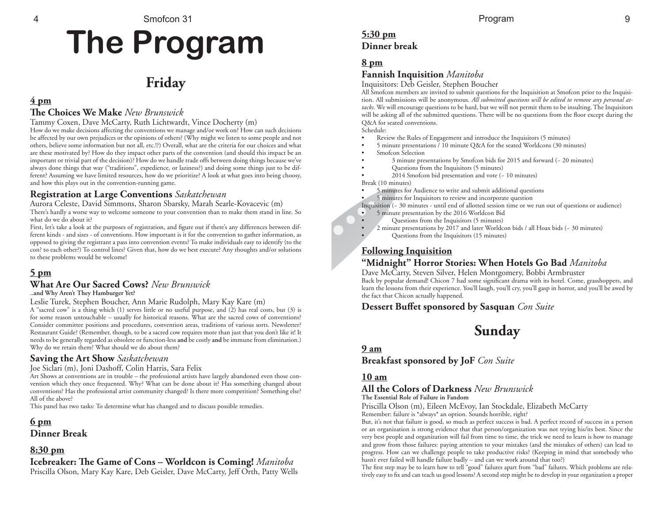# **The Program**

## **Friday**

## **4 pm**

## **The Choices We Make** *New Brunswick*

Tammy Coxen, Dave McCarty, Ruth Lichtwardt, Vince Docherty (m)

How do we make decisions affecting the conventions we manage and/or work on? How can such decisions be affected by our own prejudices or the opinions of others? (Why might we listen to some people and not others, believe some information but not all, etc.!?) Overall, what are the criteria for our choices and what are these motivated by? How do they impact other parts of the convention (and should this impact be an important or trivial part of the decision)? How do we handle trade offs between doing things because we've always done things that way ("traditions", expedience, or laziness?) and doing some things just to be different? Assuming we have limited resources, how do we prioritize? A look at what goes into being choosy, and how this plays out in the convention-running game.

## **Registration at Large Conventions** *Saskatchewan*

Aurora Celeste, David Simmons, Sharon Sbarsky, Marah Searle-Kovacevic (m) There's hardly a worse way to welcome someone to your convention than to make them stand in line. So what do we do about it?

First, let's take a look at the purposes of registration, and figure out if there's any differences between different kinds - and sizes - of conventions. How important is it for the convention to gather information, as opposed to giving the registrant a pass into convention events? To make individuals easy to identify (to the con? to each other?) To control lines? Given that, how do we best execute? Any thoughts and/or solutions to these problems would be welcome!

## **5 pm**

## **What Are Our Sacred Cows?** *New Brunswick*

**..and Why Aren't They Hamburger Yet?**

Leslie Turek, Stephen Boucher, Ann Marie Rudolph, Mary Kay Kare (m)

A "sacred cow" is a thing which (1) serves little or no useful purpose, and (2) has real costs, but (3) is for some reason untouchable – usually for historical reasons. What are the sacred cows of conventions? Consider committee positions and procedures, convention areas, traditions of various sorts. Newsletter? Restaurant Guide? (Remember, though, to be a sacred cow requires more than just that you don't like it! It needs to be generally regarded as obsolete or function-less **and** be costly **and** be immune from elimination.) Why do we retain them? What should we do about them?

## **Saving the Art Show** *Saskatchewan*

#### Joe Siclari (m), Joni Dashoff, Colin Harris, Sara Felix

Art Shows at conventions are in trouble – the professional artists have largely abandoned even those convention which they once frequented. Why? What can be done about it? Has something changed about conventions? Has the professional artist community changed? Is there more competition? Something else? All of the above?

This panel has two tasks: To determine what has changed and to discuss possible remedies.

## **6 pm**

**Dinner Break**

## **8:30 pm**

**Icebreaker: T e Game of Cons – Worldcon is Coming!** *Manitoba* Priscilla Olson, Mary Kay Kare, Deb Geisler, Dave McCarty, Jeff Orth, Patty Wells

## **5:30 pm Dinner break**

## **8 pm**

## **Fannish Inquisition** *Manitoba*

Inquisitors: Deb Geisler, Stephen Boucher

All Smofcon members are invited to submit questions for the Inquisition at Smofcon prior to the Inquisition. All submissions will be anonymous. *All submitted questions will be edited to remove any personal attacks*. We will encourage questions to be hard, but we will not permit them to be insulting. The Inquisitors will be asking all of the submitted questions. There will be no questions from the floor except during the Q&A for seated conventions.

Schedule:

- Review the Rules of Engagement and introduce the Inquisitors (5 minutes)
- 5 minute presentations / 10 minute Q&A for the seated Worldcons (30 minutes)
- Smofcon Selection
- 3 minute presentations by Smofcon bids for 2015 and forward (~ 20 minutes)
	- Questions from the Inquisitors (5 minutes)
- 2014 Smofcon bid presentation and vote (~ 10 minutes)
- Break (10 minutes)
- 5 minutes for Audience to write and submit additional questions
- 5 minutes for Inquisitors to review and incorporate question

Inquisition (~ 30 minutes - until end of allotted session time or we run out of questions or audience)

- 5 minute presentation by the 2016 Worldcon Bid
- Questions from the Inquisitors (5 minutes)
- 2 minute presentations by 2017 and later Worldcon bids / all Hoax bids (~ 30 minutes)
	- Questions from the Inquisitors (15 minutes)

## **Following Inquisition**

## **"Midnight" Horror Stories: When Hotels Go Bad** *Manitoba*

Dave McCarty, Steven Silver, Helen Montgomery, Bobbi Armbruster Back by popular demand! Chicon 7 had some significant drama with its hotel. Come, grasshoppers, and learn the lessons from their experience. You'll laugh, you'll cry, you'll gasp in horror, and you'll be awed by the fact that Chicon actually happened.

## **Dessert Buff et sponsored by Sasquan** *Con Suite*



## **9 am**

**Breakfast sponsored by JoF** *Con Suite*

## **10 am**

## **All the Colors of Darkness** *New Brunswick*

**The Essential Role of Failure in Fandom**

#### Priscilla Olson (m), Eileen McEvoy, Ian Stockdale, Elizabeth McCarty Remember: failure is \*always\* an option. Sounds horrible, right?

But, it's not that failure is good, so much as perfect success is bad. A perfect record of success in a person or an organization is strong evidence that that person/organization was not trying his/its best. Since the very best people and organization will fail from time to time, the trick we need to learn is how to manage and grow from those failures: paying attention to your mistakes (and the mistakes of others) can lead to progress. How can we challenge people to take productive risks? (Keeping in mind that somebody who hasn't ever failed will handle failure badly – and can we work around that too?)

The first step may be to learn how to tell "good" failures apart from "bad" failures. Which problems are relatively easy to fix and can teach us good lessons? A second step might be to develop in your organization a proper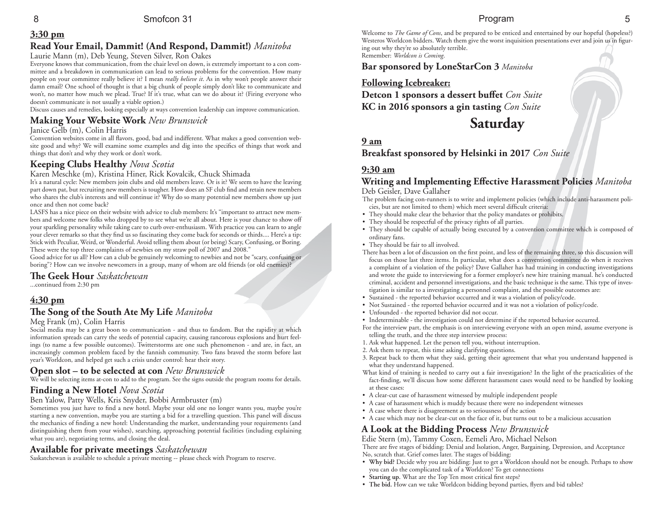## **3:30 pm**

## **Read Your Email, Dammit! (And Respond, Dammit!)** *Manitoba*

#### Laurie Mann (m), Deb Yeung, Steven Silver, Ron Oakes

Everyone knows that communication, from the chair level on down, is extremely important to a con committee and a breakdown in communication can lead to serious problems for the convention. How many people on your committee really believe it? I mean *really believe it*. As in why won't people answer their damn email? One school of thought is that a big chunk of people simply don't like to communicate and won't, no matter how much we plead. True? If it's true, what can we do about it? (Firing everyone who doesn't communicate is not usually a viable option.)

Discuss causes and remedies, looking especially at ways convention leadership can improve communication.

## **Making Your Website Work** *New Brunswick*

#### Janice Gelb (m), Colin Harris

Convention websites come in all flavors, good, bad and indifferent. What makes a good convention website good and why? We will examine some examples and dig into the specifics of things that work and things that don't and why they work or don't work.

## **Keeping Clubs Healthy** *Nova Scotia*

Karen Meschke (m), Kristina Hiner, Rick Kovalcik, Chuck Shimada

It's a natural cycle: New members join clubs and old members leave. Or is it? We seem to have the leaving part down pat, but recruiting new members is tougher. How does an SF club find and retain new members who shares the club's interests and will continue it? Why do so many potential new members show up just once and then not come back?

LASFS has a nice piece on their website with advice to club members: It's "important to attract new members and welcome new folks who dropped by to see what we're all about. Here is your chance to show off your sparkling personality while taking care to curb over-enthusiasm. With practice you can learn to angle your clever remarks so that they find us so fascinating they come back for seconds or thirds.... Here's a tip: Stick with Peculiar, Weird, or Wonderful. Avoid telling them about (or being) Scary, Confusing, or Boring. These were the top three complaints of newbies on my straw poll of 2007 and 2008."

Good advice for us all? How can a club be genuinely welcoming to newbies and not be "scary, confusing or boring"? How can we involve newcomers in a group, many of whom are old friends (or old enemies)?

## **The Geek Hour** *Saskatchewan*

...continued from 2:30 pm

## **4:30 pm**

## The Song of the South Ate My Life *Manitoba*

#### Meg Frank (m), Colin Harris

Social media may be a great boon to communication - and thus to fandom. But the rapidity at which information spreads can carry the seeds of potential capacity, causing rancorous explosions and hurt feelings (to name a few possible outcomes). Twitterstorms are one such phenomenon - and are, in fact, an increasingly common problem faced by the fannish community. Two fans braved the storm before last year's Worldcon, and helped get such a crisis under control: hear their story.

## **Open slot – to be selected at con** *New Brunswick*

We will be selecting items at-con to add to the program. See the signs outside the program rooms for details.

## **Finding a New Hotel** *Nova Scotia*

#### Ben Yalow, Patty Wells, Kris Snyder, Bobbi Armbruster (m)

Sometimes you just have to find a new hotel. Maybe your old one no longer wants you, maybe you're starting a new convention, maybe you are starting a bid for a travelling question. This panel will discuss the mechanics of finding a new hotel: Understanding the market, understanding your requirements (and distinguishing them from your wishes), searching, approaching potential facilities (including explaining what you are), negotiating terms, and closing the deal.

#### **Available for private meetings** *Saskatchewan*

Saskatchewan is available to schedule a private meeting -- please check with Program to reserve.

#### Program 5

Welcome to *The Game of Cons*, and be prepared to be enticed and entertained by our hopeful (hopeless?) Westeros Worldcon bidders. Watch them give the worst inquisition presentations ever and join us in figuring out why they're so absolutely terrible. Remember: *Worldcon is Coming*.

**Bar sponsored by LoneStarCon 3** *Manitoba*

#### **Following Icebreaker:**

**Detcon 1 sponsors a dessert buffet** Con Suite **KC in 2016 sponsors a gin tasting** *Con Suite*

**Saturday**

## **9 am**

**Breakfast sponsored by Helsinki in 2017** *Con Suite*

## **9:30 am**

#### **Writing and Implementing Eff ective Harassment Policies** *Manitoba* Deb Geisler, Dave Gallaher

- The problem facing con-runners is to write and implement policies (which include anti-harassment policies, but are not limited to them) which meet several difficult criteria:
- They should make clear the behavior that the policy mandates or prohibits.
- They should be respectful of the privacy rights of all parties.
- They should be capable of actually being executed by a convention committee which is composed of ordinary fans.
- They should be fair to all involved.
- There has been a lot of discussion on the first point, and less of the remaining three, so this discussion will focus on those last three items. In particular, what does a convention committee do when it receives a complaint of a violation of the policy? Dave Gallaher has had training in conducting investigations and wrote the guide to interviewing for a former employer's new hire training manual. he's conducted criminal, accident and personnel investigations, and the basic technique is the same. This type of investigation is similar to a investigating a personnel complaint, and the possible outcomes are:
- Sustained the reported behavior occurred and it was a violation of policy/code.
- Not Sustained the reported behavior occurred and it was not a violation of policy/code.
- Unfounded the reported behavior did not occur.
- Indeterminable the investigation could not determine if the reported behavior occurred.
- For the interview part, the emphasis is on interviewing everyone with an open mind, assume everyone is telling the truth, and the three step interview process:
- 1. Ask what happened. Let the person tell you, without interruption.
- 2. Ask them to repeat, this time asking clarifying questions.
- 3. Repeat back to them what they said, getting their agreement that what you understand happened is what they understand happened.
- What kind of training is needed to carry out a fair investigation? In the light of the practicalities of the fact-finding, we'll discuss how some different harassment cases would need to be handled by looking at these cases:
- A clear-cut case of harassment witnessed by multiple independent people
- A case of harassment which is muddy because there were no independent witnesses
- A case where there is disagreement as to seriousness of the action
- A case which may not be clear-cut on the face of it, but turns out to be a malicious accusation

## **A Look at the Bidding Process** *New Brunswick*

Edie Stern (m), Tammy Coxen, Eemeli Aro, Michael Nelson There are five stages of bidding: Denial and Isolation, Anger, Bargaining, Depression, and Acceptance No, scratch that. Grief comes later. The stages of bidding:

- **Why bid?** Decide why you are bidding: Just to get a Worldcon should not be enough. Perhaps to show you can do the complicated task of a Worldcon? To get connections
- Starting up. What are the Top Ten most critical first steps?
- The bid. How can we take Worldcon bidding beyond parties, flyers and bid tables?